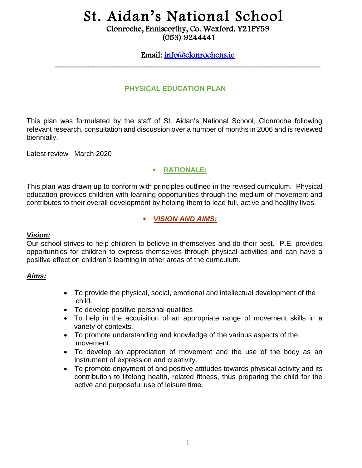# St. Aidan's National School

Clonroche, Enniscorthy, Co. Wexford. Y21PY59 (053) 9244441

# Email: [info@clonrochens.ie](mailto:info@clonrochens.ie)  \_\_\_\_\_\_\_\_\_\_\_\_\_\_\_\_\_\_\_\_\_\_\_\_\_\_\_\_\_\_\_\_\_\_\_\_\_\_\_\_\_\_\_\_\_\_\_\_\_\_\_\_\_\_\_\_\_\_\_\_\_\_\_\_

#### **PHYSICAL EDUCATION PLAN**

This plan was formulated by the staff of St. Aidan's National School, Clonroche following relevant research, consultation and discussion over a number of months in 2006 and is reviewed biennially.

Latest review March 2020

## **RATIONALE:**

This plan was drawn up to conform with principles outlined in the revised curriculum. Physical education provides children with learning opportunities through the medium of movement and contributes to their overall development by helping them to lead full, active and healthy lives.

## *VISION AND AIMS:*

#### *Vision:*

Our school strives to help children to believe in themselves and do their best. P.E. provides opportunities for children to express themselves through physical activities and can have a positive effect on children's learning in other areas of the curriculum.

#### *Aims:*

- To provide the physical, social, emotional and intellectual development of the child.
- To develop positive personal qualities
- To help in the acquisition of an appropriate range of movement skills in a variety of contexts.
- To promote understanding and knowledge of the various aspects of the movement.
- To develop an appreciation of movement and the use of the body as an instrument of expression and creativity.
- To promote enjoyment of and positive attitudes towards physical activity and its contribution to lifelong health, related fitness, thus preparing the child for the active and purposeful use of leisure time.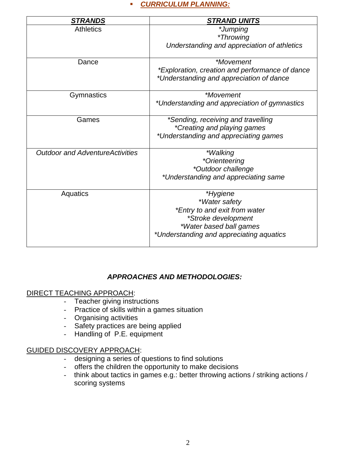## *CURRICULUM PLANNING:*

| <b>STRANDS</b>                          | <b>STRAND UNITS</b>                                                                                                                                      |
|-----------------------------------------|----------------------------------------------------------------------------------------------------------------------------------------------------------|
| <b>Athletics</b>                        | *Jumping<br><i>*Throwing</i><br>Understanding and appreciation of athletics                                                                              |
| Dance                                   | <i>*Movement</i><br>*Exploration, creation and performance of dance<br>*Understanding and appreciation of dance                                          |
| Gymnastics                              | <i>*Movement</i><br>*Understanding and appreciation of gymnastics                                                                                        |
| Games                                   | *Sending, receiving and travelling<br>*Creating and playing games<br>*Understanding and appreciating games                                               |
| <b>Outdoor and Adventure Activities</b> | <i>*Walking</i><br>*Orienteering<br>*Outdoor challenge<br>*Understanding and appreciating same                                                           |
| Aquatics                                | *Hygiene<br>*Water safety<br>*Entry to and exit from water<br>*Stroke development<br>*Water based ball games<br>*Understanding and appreciating aquatics |

## *APPROACHES AND METHODOLOGIES:*

## DIRECT TEACHING APPROACH:

- Teacher giving instructions
- Practice of skills within a games situation
- Organising activities
- Safety practices are being applied
- Handling of P.E. equipment

#### GUIDED DISCOVERY APPROACH:

- designing a series of questions to find solutions
- offers the children the opportunity to make decisions
- think about tactics in games e.g.: better throwing actions / striking actions / scoring systems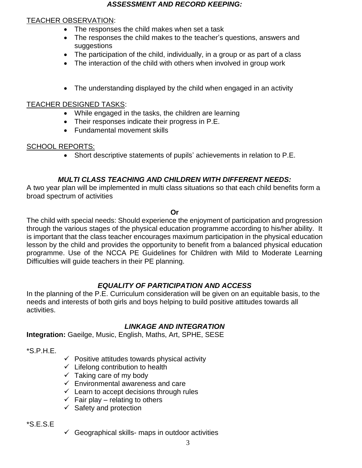#### *ASSESSMENT AND RECORD KEEPING:*

### TEACHER OBSERVATION:

- The responses the child makes when set a task
- The responses the child makes to the teacher's questions, answers and suggestions
- The participation of the child, individually, in a group or as part of a class
- The interaction of the child with others when involved in group work
- The understanding displayed by the child when engaged in an activity

#### TEACHER DESIGNED TASKS:

- While engaged in the tasks, the children are learning
- Their responses indicate their progress in P.E.
- Fundamental movement skills

#### SCHOOL REPORTS:

Short descriptive statements of pupils' achievements in relation to P.E.

## *MULTI CLASS TEACHING AND CHILDREN WITH DIFFERENT NEEDS:*

A two year plan will be implemented in multi class situations so that each child benefits form a broad spectrum of activities

**Or**

The child with special needs: Should experience the enjoyment of participation and progression through the various stages of the physical education programme according to his/her ability. It is important that the class teacher encourages maximum participation in the physical education lesson by the child and provides the opportunity to benefit from a balanced physical education programme. Use of the NCCA PE Guidelines for Children with Mild to Moderate Learning Difficulties will guide teachers in their PE planning.

## *EQUALITY OF PARTICIPATION AND ACCESS*

In the planning of the P.E. Curriculum consideration will be given on an equitable basis, to the needs and interests of both girls and boys helping to build positive attitudes towards all activities.

## *LINKAGE AND INTEGRATION*

**Integration:** Gaeilge, Music, English, Maths, Art, SPHE, SESE

\*S.P.H.E.

- $\checkmark$  Positive attitudes towards physical activity
- $\checkmark$  Lifelong contribution to health
- $\checkmark$  Taking care of my body
- $\checkmark$  Environmental awareness and care
- $\checkmark$  Learn to accept decisions through rules
- $\checkmark$  Fair play relating to others
- $\checkmark$  Safety and protection

\*S.E.S.E

 $\checkmark$  Geographical skills- maps in outdoor activities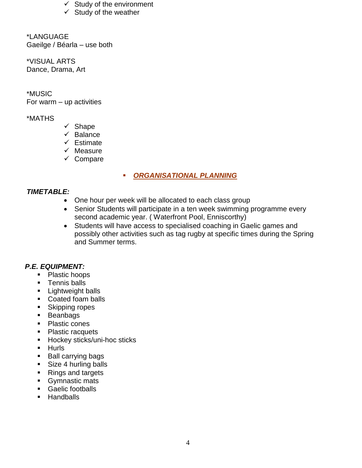- $\checkmark$  Study of the environment
- $\checkmark$  Study of the weather

\*LANGUAGE Gaeilge / Béarla – use both

\*VISUAL ARTS Dance, Drama, Art

\*MUSIC For warm  $-$  up activities

## \*MATHS

- $\checkmark$  Shape
- $\checkmark$  Balance
- $\checkmark$  Estimate
- $\checkmark$  Measure
- $\checkmark$  Compare

# *ORGANISATIONAL PLANNING*

#### *TIMETABLE:*

- One hour per week will be allocated to each class group
- Senior Students will participate in a ten week swimming programme every second academic year. ( Waterfront Pool, Enniscorthy)
- Students will have access to specialised coaching in Gaelic games and possibly other activities such as tag rugby at specific times during the Spring and Summer terms.

## *P.E. EQUIPMENT:*

- Plastic hoops
- **Tennis balls**
- **Lightweight balls**
- Coated foam balls
- Skipping ropes
- **Beanbags**
- Plastic cones
- Plastic racquets
- **Hockey sticks/uni-hoc sticks**
- **Hurls**
- **Ball carrying bags**
- Size 4 hurling balls
- Rings and targets
- Gymnastic mats
- Gaelic footballs
- **Handballs**